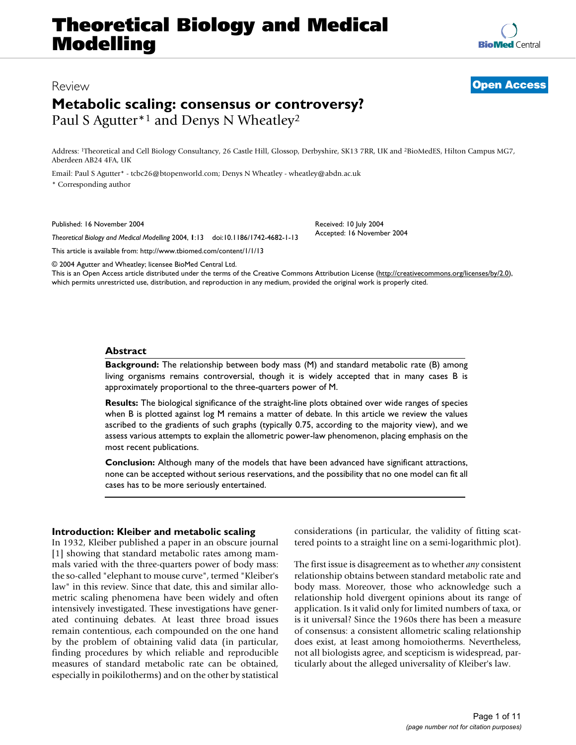# **Theoretical Biology and Medical Modelling**

**[BioMed](http://www.biomedcentral.com/)** Central

# Review **[Open Access](http://www.biomedcentral.com/info/about/charter/)**

# **Metabolic scaling: consensus or controversy?** Paul S Agutter<sup>\*1</sup> and Denys N Wheatley<sup>2</sup>

Address: 1Theoretical and Cell Biology Consultancy, 26 Castle Hill, Glossop, Derbyshire, SK13 7RR, UK and 2BioMedES, Hilton Campus MG7, Aberdeen AB24 4FA, UK

Email: Paul S Agutter\* - tcbc26@btopenworld.com; Denys N Wheatley - wheatley@abdn.ac.uk \* Corresponding author

Published: 16 November 2004

*Theoretical Biology and Medical Modelling* 2004, **1**:13 doi:10.1186/1742-4682-1-13

[This article is available from: http://www.tbiomed.com/content/1/1/13](http://www.tbiomed.com/content/1/1/13)

© 2004 Agutter and Wheatley; licensee BioMed Central Ltd.

This is an Open Access article distributed under the terms of the Creative Commons Attribution License [\(http://creativecommons.org/licenses/by/2.0\)](http://creativecommons.org/licenses/by/2.0), which permits unrestricted use, distribution, and reproduction in any medium, provided the original work is properly cited.

Received: 10 July 2004 Accepted: 16 November 2004

# **Abstract**

**Background:** The relationship between body mass (M) and standard metabolic rate (B) among living organisms remains controversial, though it is widely accepted that in many cases B is approximately proportional to the three-quarters power of M.

**Results:** The biological significance of the straight-line plots obtained over wide ranges of species when B is plotted against log M remains a matter of debate. In this article we review the values ascribed to the gradients of such graphs (typically 0.75, according to the majority view), and we assess various attempts to explain the allometric power-law phenomenon, placing emphasis on the most recent publications.

**Conclusion:** Although many of the models that have been advanced have significant attractions, none can be accepted without serious reservations, and the possibility that no one model can fit all cases has to be more seriously entertained.

# **Introduction: Kleiber and metabolic scaling**

In 1932, Kleiber published a paper in an obscure journal [1] showing that standard metabolic rates among mammals varied with the three-quarters power of body mass: the so-called "elephant to mouse curve", termed "Kleiber's law" in this review. Since that date, this and similar allometric scaling phenomena have been widely and often intensively investigated. These investigations have generated continuing debates. At least three broad issues remain contentious, each compounded on the one hand by the problem of obtaining valid data (in particular, finding procedures by which reliable and reproducible measures of standard metabolic rate can be obtained, especially in poikilotherms) and on the other by statistical

considerations (in particular, the validity of fitting scattered points to a straight line on a semi-logarithmic plot).

The first issue is disagreement as to whether *any* consistent relationship obtains between standard metabolic rate and body mass. Moreover, those who acknowledge such a relationship hold divergent opinions about its range of application. Is it valid only for limited numbers of taxa, or is it universal? Since the 1960s there has been a measure of consensus: a consistent allometric scaling relationship does exist, at least among homoiotherms. Nevertheless, not all biologists agree, and scepticism is widespread, particularly about the alleged universality of Kleiber's law.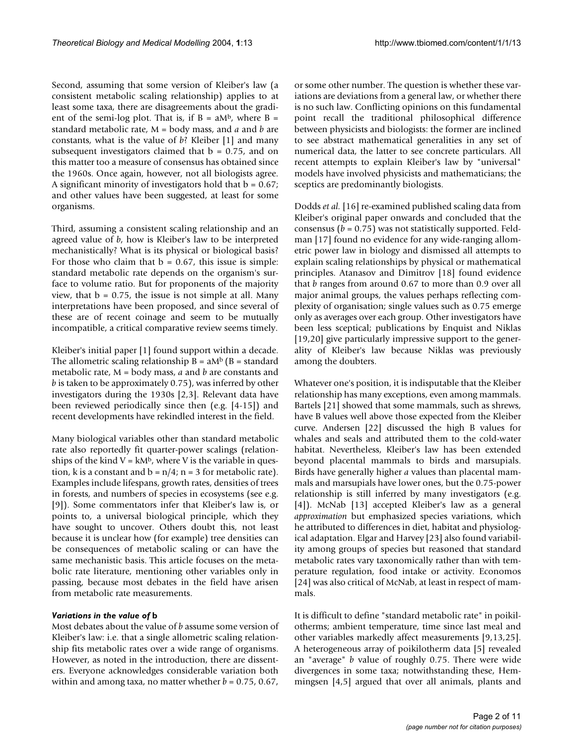Second, assuming that some version of Kleiber's law (a consistent metabolic scaling relationship) applies to at least some taxa, there are disagreements about the gradient of the semi-log plot. That is, if  $B = aM<sup>b</sup>$ , where  $B =$ standard metabolic rate, M = body mass, and *a* and *b* are constants, what is the value of *b*? Kleiber [1] and many subsequent investigators claimed that  $b = 0.75$ , and on this matter too a measure of consensus has obtained since the 1960s. Once again, however, not all biologists agree. A significant minority of investigators hold that  $b = 0.67$ ; and other values have been suggested, at least for some organisms.

Third, assuming a consistent scaling relationship and an agreed value of *b*, how is Kleiber's law to be interpreted mechanistically? What is its physical or biological basis? For those who claim that  $b = 0.67$ , this issue is simple: standard metabolic rate depends on the organism's surface to volume ratio. But for proponents of the majority view, that  $b = 0.75$ , the issue is not simple at all. Many interpretations have been proposed, and since several of these are of recent coinage and seem to be mutually incompatible, a critical comparative review seems timely.

Kleiber's initial paper [1] found support within a decade. The allometric scaling relationship  $B = aM^b$  (B = standard metabolic rate, M = body mass, *a* and *b* are constants and *b* is taken to be approximately 0.75), was inferred by other investigators during the 1930s [2,3]. Relevant data have been reviewed periodically since then (e.g. [4-15]) and recent developments have rekindled interest in the field.

Many biological variables other than standard metabolic rate also reportedly fit quarter-power scalings (relationships of the kind  $V = kM<sup>b</sup>$ , where V is the variable in question, k is a constant and  $b = n/4$ ; n = 3 for metabolic rate). Examples include lifespans, growth rates, densities of trees in forests, and numbers of species in ecosystems (see e.g. [9]). Some commentators infer that Kleiber's law is, or points to, a universal biological principle, which they have sought to uncover. Others doubt this, not least because it is unclear how (for example) tree densities can be consequences of metabolic scaling or can have the same mechanistic basis. This article focuses on the metabolic rate literature, mentioning other variables only in passing, because most debates in the field have arisen from metabolic rate measurements.

### *Variations in the value of* **b**

Most debates about the value of *b* assume some version of Kleiber's law: i.e. that a single allometric scaling relationship fits metabolic rates over a wide range of organisms. However, as noted in the introduction, there are dissenters. Everyone acknowledges considerable variation both within and among taxa, no matter whether  $b = 0.75$ , 0.67,

or some other number. The question is whether these variations are deviations from a general law, or whether there is no such law. Conflicting opinions on this fundamental point recall the traditional philosophical difference between physicists and biologists: the former are inclined to see abstract mathematical generalities in any set of numerical data, the latter to see concrete particulars. All recent attempts to explain Kleiber's law by "universal" models have involved physicists and mathematicians; the sceptics are predominantly biologists.

Dodds *et al.* [16] re-examined published scaling data from Kleiber's original paper onwards and concluded that the consensus (*b* = 0.75) was not statistically supported. Feldman [17] found no evidence for any wide-ranging allometric power law in biology and dismissed all attempts to explain scaling relationships by physical or mathematical principles. Atanasov and Dimitrov [18] found evidence that *b* ranges from around 0.67 to more than 0.9 over all major animal groups, the values perhaps reflecting complexity of organisation; single values such as 0.75 emerge only as averages over each group. Other investigators have been less sceptical; publications by Enquist and Niklas [19,20] give particularly impressive support to the generality of Kleiber's law because Niklas was previously among the doubters.

Whatever one's position, it is indisputable that the Kleiber relationship has many exceptions, even among mammals. Bartels [21] showed that some mammals, such as shrews, have B values well above those expected from the Kleiber curve. Andersen [22] discussed the high B values for whales and seals and attributed them to the cold-water habitat. Nevertheless, Kleiber's law has been extended beyond placental mammals to birds and marsupials. Birds have generally higher *a* values than placental mammals and marsupials have lower ones, but the 0.75-power relationship is still inferred by many investigators (e.g. [4]). McNab [13] accepted Kleiber's law as a general *approximation* but emphasized species variations, which he attributed to differences in diet, habitat and physiological adaptation. Elgar and Harvey [23] also found variability among groups of species but reasoned that standard metabolic rates vary taxonomically rather than with temperature regulation, food intake or activity. Economos [24] was also critical of McNab, at least in respect of mammals.

It is difficult to define "standard metabolic rate" in poikilotherms; ambient temperature, time since last meal and other variables markedly affect measurements [9,13,25]. A heterogeneous array of poikilotherm data [5] revealed an "average" *b* value of roughly 0.75. There were wide divergences in some taxa; notwithstanding these, Hemmingsen [4,5] argued that over all animals, plants and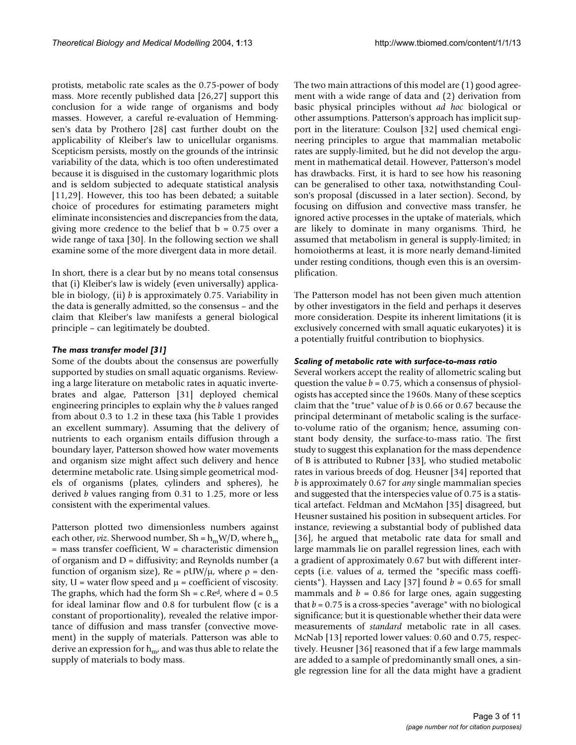protists, metabolic rate scales as the 0.75-power of body mass. More recently published data [26,27] support this conclusion for a wide range of organisms and body masses. However, a careful re-evaluation of Hemmingsen's data by Prothero [28] cast further doubt on the applicability of Kleiber's law to unicellular organisms. Scepticism persists, mostly on the grounds of the intrinsic variability of the data, which is too often underestimated because it is disguised in the customary logarithmic plots and is seldom subjected to adequate statistical analysis [11,29]. However, this too has been debated; a suitable choice of procedures for estimating parameters might eliminate inconsistencies and discrepancies from the data, giving more credence to the belief that  $b = 0.75$  over a wide range of taxa [30]. In the following section we shall examine some of the more divergent data in more detail.

In short, there is a clear but by no means total consensus that (i) Kleiber's law is widely (even universally) applicable in biology, (ii) *b* is approximately 0.75. Variability in the data is generally admitted, so the consensus – and the claim that Kleiber's law manifests a general biological principle – can legitimately be doubted.

### *The mass transfer model [31]*

Some of the doubts about the consensus are powerfully supported by studies on small aquatic organisms. Reviewing a large literature on metabolic rates in aquatic invertebrates and algae, Patterson [31] deployed chemical engineering principles to explain why the *b* values ranged from about 0.3 to 1.2 in these taxa (his Table 1 provides an excellent summary). Assuming that the delivery of nutrients to each organism entails diffusion through a boundary layer, Patterson showed how water movements and organism size might affect such delivery and hence determine metabolic rate. Using simple geometrical models of organisms (plates, cylinders and spheres), he derived *b* values ranging from 0.31 to 1.25, more or less consistent with the experimental values.

Patterson plotted two dimensionless numbers against each other, *viz*. Sherwood number, Sh =  $h_m W/D$ , where  $h_m$ = mass transfer coefficient, W = characteristic dimension of organism and  $D =$  diffusivity; and Reynolds number (a function of organism size), Re = ρUW/µ, where ρ = density,  $U = w$  water flow speed and  $\mu = \text{coefficient of viscosity.}$ The graphs, which had the form  $Sh = c \cdot Re^{d}$ , where  $d = 0.5$ for ideal laminar flow and 0.8 for turbulent flow (c is a constant of proportionality), revealed the relative importance of diffusion and mass transfer (convective movement) in the supply of materials. Patterson was able to derive an expression for  $h_{m'}$  and was thus able to relate the supply of materials to body mass.

The two main attractions of this model are (1) good agreement with a wide range of data and (2) derivation from basic physical principles without *ad hoc* biological or other assumptions. Patterson's approach has implicit support in the literature: Coulson [32] used chemical engineering principles to argue that mammalian metabolic rates are supply-limited, but he did not develop the argument in mathematical detail. However, Patterson's model has drawbacks. First, it is hard to see how his reasoning can be generalised to other taxa, notwithstanding Coulson's proposal (discussed in a later section). Second, by focusing on diffusion and convective mass transfer, he ignored active processes in the uptake of materials, which are likely to dominate in many organisms. Third, he assumed that metabolism in general is supply-limited; in homoiotherms at least, it is more nearly demand-limited under resting conditions, though even this is an oversimplification.

The Patterson model has not been given much attention by other investigators in the field and perhaps it deserves more consideration. Despite its inherent limitations (it is exclusively concerned with small aquatic eukaryotes) it is a potentially fruitful contribution to biophysics.

#### *Scaling of metabolic rate with surface-to-mass ratio*

Several workers accept the reality of allometric scaling but question the value *b* = 0.75, which a consensus of physiologists has accepted since the 1960s. Many of these sceptics claim that the "true" value of *b* is 0.66 or 0.67 because the principal determinant of metabolic scaling is the surfaceto-volume ratio of the organism; hence, assuming constant body density, the surface-to-mass ratio. The first study to suggest this explanation for the mass dependence of B is attributed to Rubner [33], who studied metabolic rates in various breeds of dog. Heusner [34] reported that *b* is approximately 0.67 for *any* single mammalian species and suggested that the interspecies value of 0.75 is a statistical artefact. Feldman and McMahon [35] disagreed, but Heusner sustained his position in subsequent articles. For instance, reviewing a substantial body of published data [36], he argued that metabolic rate data for small and large mammals lie on parallel regression lines, each with a gradient of approximately 0.67 but with different intercepts (i.e. values of *a*, termed the "specific mass coefficients"). Hayssen and Lacy [37] found *b* = 0.65 for small mammals and  $b = 0.86$  for large ones, again suggesting that  $b = 0.75$  is a cross-species "average" with no biological significance; but it is questionable whether their data were measurements of *standard* metabolic rate in all cases. McNab [13] reported lower values: 0.60 and 0.75, respectively. Heusner [36] reasoned that if a few large mammals are added to a sample of predominantly small ones, a single regression line for all the data might have a gradient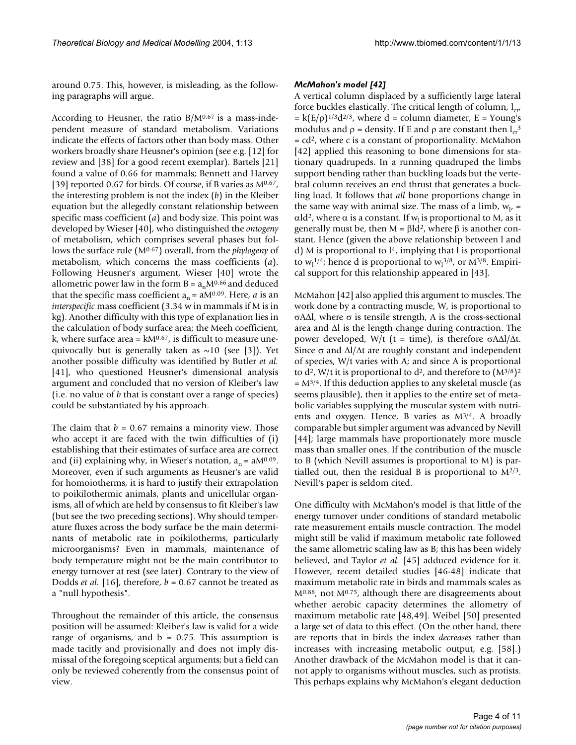around 0.75. This, however, is misleading, as the following paragraphs will argue.

According to Heusner, the ratio  $B/M^{0.67}$  is a mass-independent measure of standard metabolism. Variations indicate the effects of factors other than body mass. Other workers broadly share Heusner's opinion (see e.g. [12] for review and [38] for a good recent exemplar). Bartels [21] found a value of 0.66 for mammals; Bennett and Harvey [39] reported 0.67 for birds. Of course, if B varies as  $M^{0.67}$ , the interesting problem is not the index (*b*) in the Kleiber equation but the allegedly constant relationship between specific mass coefficient (*a*) and body size. This point was developed by Wieser [40], who distinguished the *ontogeny* of metabolism, which comprises several phases but follows the surface rule (M0.67) overall, from the *phylogeny* of metabolism, which concerns the mass coefficients (*a*). Following Heusner's argument, Wieser [40] wrote the allometric power law in the form  $B = a_nM^{0.66}$  and deduced that the specific mass coefficient  $a_n = aM^{0.09}$ . Here, *a* is an *interspecific* mass coefficient (3.34 w in mammals if M is in kg). Another difficulty with this type of explanation lies in the calculation of body surface area; the Meeh coefficient,  $k$ , where surface area =  $kM^{0.67}$ , is difficult to measure unequivocally but is generally taken as  $\sim$ 10 (see [3]). Yet another possible difficulty was identified by Butler *et al.* [41], who questioned Heusner's dimensional analysis argument and concluded that no version of Kleiber's law (i.e. no value of *b* that is constant over a range of species) could be substantiated by his approach.

The claim that  $b = 0.67$  remains a minority view. Those who accept it are faced with the twin difficulties of (i) establishing that their estimates of surface area are correct and (ii) explaining why, in Wieser's notation,  $a_n = aM^{0.09}$ . Moreover, even if such arguments as Heusner's are valid for homoiotherms, it is hard to justify their extrapolation to poikilothermic animals, plants and unicellular organisms, all of which are held by consensus to fit Kleiber's law (but see the two preceding sections). Why should temperature fluxes across the body surface be the main determinants of metabolic rate in poikilotherms, particularly microorganisms? Even in mammals, maintenance of body temperature might not be the main contributor to energy turnover at rest (see later). Contrary to the view of Dodds *et al.* [16], therefore, *b* = 0.67 cannot be treated as a "null hypothesis".

Throughout the remainder of this article, the consensus position will be assumed: Kleiber's law is valid for a wide range of organisms, and  $b = 0.75$ . This assumption is made tacitly and provisionally and does not imply dismissal of the foregoing sceptical arguments; but a field can only be reviewed coherently from the consensus point of view.

#### *McMahon's model [42]*

A vertical column displaced by a sufficiently large lateral force buckles elastically. The critical length of column,  $l_{cr}$  $= k(E/\rho)^{1/3}d^{2/3}$ , where d = column diameter, E = Young's modulus and  $\rho$  = density. If E and  $\rho$  are constant then  $l_{cr}$ <sup>3</sup>  $= cd<sup>2</sup>$ , where c is a constant of proportionality. McMahon [42] applied this reasoning to bone dimensions for stationary quadrupeds. In a running quadruped the limbs support bending rather than buckling loads but the vertebral column receives an end thrust that generates a buckling load. It follows that *all* bone proportions change in the same way with animal size. The mass of a limb,  $w_{1}$ , = αld<sup>2</sup>, where α is a constant. If w<sub>l</sub> is proportional to M, as it generally must be, then  $M = \beta Id^2$ , where β is another constant. Hence (given the above relationship between l and d) M is proportional to  $l<sup>4</sup>$ , implying that l is proportional to  $w_1^{1/4}$ ; hence d is proportional to  $w_1^{3/8}$ , or  $M^{3/8}$ . Empirical support for this relationship appeared in [43].

McMahon [42] also applied this argument to muscles. The work done by a contracting muscle, W, is proportional to σA∆l, where σ is tensile strength, A is the cross-sectional area and ∆l is the length change during contraction. The power developed, W/t (t = time), is therefore  $σAΔl/Δt$ . Since  $\sigma$  and  $\Delta l/\Delta t$  are roughly constant and independent of species, W/t varies with A; and since A is proportional to  $d^2$ , W/t it is proportional to  $d^2$ , and therefore to  $(M^{3/8})^2$  $= M^{3/4}$ . If this deduction applies to any skeletal muscle (as seems plausible), then it applies to the entire set of metabolic variables supplying the muscular system with nutrients and oxygen. Hence, B varies as M3/4. A broadly comparable but simpler argument was advanced by Nevill [44]; large mammals have proportionately more muscle mass than smaller ones. If the contribution of the muscle to B (which Nevill assumes is proportional to M) is partialled out, then the residual B is proportional to  $M^{2/3}$ . Nevill's paper is seldom cited.

One difficulty with McMahon's model is that little of the energy turnover under conditions of standard metabolic rate measurement entails muscle contraction. The model might still be valid if maximum metabolic rate followed the same allometric scaling law as B; this has been widely believed, and Taylor *et al.* [45] adduced evidence for it. However, recent detailed studies [46-48] indicate that maximum metabolic rate in birds and mammals scales as  $M<sup>0.88</sup>$ , not  $M<sup>0.75</sup>$ , although there are disagreements about whether aerobic capacity determines the allometry of maximum metabolic rate [48,49]. Weibel [50] presented a large set of data to this effect. (On the other hand, there are reports that in birds the index *decreases* rather than increases with increasing metabolic output, e.g. [58].) Another drawback of the McMahon model is that it cannot apply to organisms without muscles, such as protists. This perhaps explains why McMahon's elegant deduction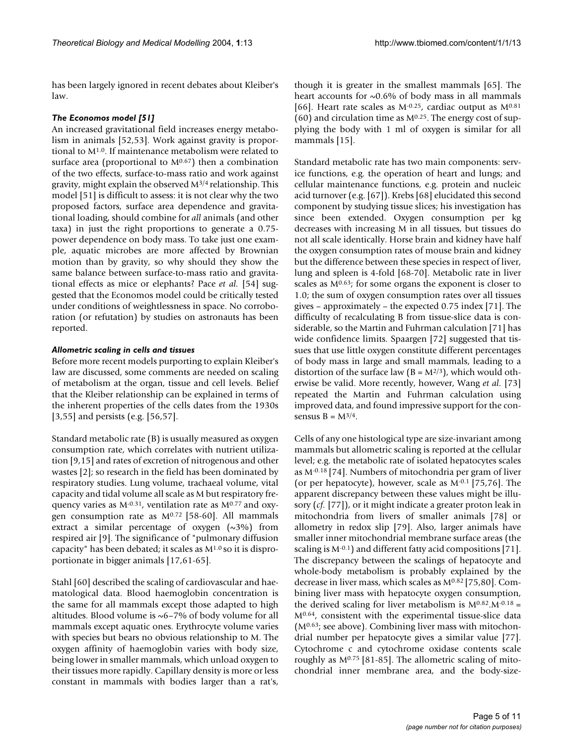has been largely ignored in recent debates about Kleiber's law.

# *The Economos model [51]*

An increased gravitational field increases energy metabolism in animals [52,53]. Work against gravity is proportional to M1.0. If maintenance metabolism were related to surface area (proportional to  $M<sup>0.67</sup>$ ) then a combination of the two effects, surface-to-mass ratio and work against gravity, might explain the observed M3/4 relationship. This model [51] is difficult to assess: it is not clear why the two proposed factors, surface area dependence and gravitational loading, should combine for *all* animals (and other taxa) in just the right proportions to generate a 0.75 power dependence on body mass. To take just one example, aquatic microbes are more affected by Brownian motion than by gravity, so why should they show the same balance between surface-to-mass ratio and gravitational effects as mice or elephants? Pace *et al.* [54] suggested that the Economos model could be critically tested under conditions of weightlessness in space. No corroboration (or refutation) by studies on astronauts has been reported.

# *Allometric scaling in cells and tissues*

Before more recent models purporting to explain Kleiber's law are discussed, some comments are needed on scaling of metabolism at the organ, tissue and cell levels. Belief that the Kleiber relationship can be explained in terms of the inherent properties of the cells dates from the 1930s [3,55] and persists (e.g. [56,57].

Standard metabolic rate (B) is usually measured as oxygen consumption rate, which correlates with nutrient utilization [9,15] and rates of excretion of nitrogenous and other wastes [2]; so research in the field has been dominated by respiratory studies. Lung volume, trachaeal volume, vital capacity and tidal volume all scale as M but respiratory frequency varies as M-0.31, ventilation rate as M0.77 and oxygen consumption rate as  $M^{0.72}$  [58-60]. All mammals extract a similar percentage of oxygen (~3%) from respired air [9]. The significance of "pulmonary diffusion capacity" has been debated; it scales as M1.0 so it is disproportionate in bigger animals [17,61-65].

Stahl [60] described the scaling of cardiovascular and haematological data. Blood haemoglobin concentration is the same for all mammals except those adapted to high altitudes. Blood volume is ~6–7% of body volume for all mammals except aquatic ones. Erythrocyte volume varies with species but bears no obvious relationship to M. The oxygen affinity of haemoglobin varies with body size, being lower in smaller mammals, which unload oxygen to their tissues more rapidly. Capillary density is more or less constant in mammals with bodies larger than a rat's,

though it is greater in the smallest mammals [65]. The heart accounts for  $\sim 0.6\%$  of body mass in all mammals [66]. Heart rate scales as  $M^{-0.25}$ , cardiac output as  $M^{0.81}$ (60) and circulation time as  $M^{0.25}$ . The energy cost of supplying the body with 1 ml of oxygen is similar for all mammals [15].

Standard metabolic rate has two main components: service functions, e.g. the operation of heart and lungs; and cellular maintenance functions, e.g. protein and nucleic acid turnover (e.g. [67]). Krebs [68] elucidated this second component by studying tissue slices; his investigation has since been extended. Oxygen consumption per kg decreases with increasing M in all tissues, but tissues do not all scale identically. Horse brain and kidney have half the oxygen consumption rates of mouse brain and kidney but the difference between these species in respect of liver, lung and spleen is 4-fold [68-70]. Metabolic rate in liver scales as M0.63; for some organs the exponent is closer to 1.0; the sum of oxygen consumption rates over all tissues gives – approximately – the expected 0.75 index [71]. The difficulty of recalculating B from tissue-slice data is considerable, so the Martin and Fuhrman calculation [71] has wide confidence limits. Spaargen [72] suggested that tissues that use little oxygen constitute different percentages of body mass in large and small mammals, leading to a distortion of the surface law ( $B = M^{2/3}$ ), which would otherwise be valid. More recently, however, Wang *et al.* [73] repeated the Martin and Fuhrman calculation using improved data, and found impressive support for the consensus  $B = M^{3/4}$ .

Cells of any one histological type are size-invariant among mammals but allometric scaling is reported at the cellular level; e.g. the metabolic rate of isolated hepatocytes scales as M-0.18 [74]. Numbers of mitochondria per gram of liver (or per hepatocyte), however, scale as M-0.1 [75,76]. The apparent discrepancy between these values might be illusory (*cf.* [77]), or it might indicate a greater proton leak in mitochondria from livers of smaller animals [78] or allometry in redox slip [79]. Also, larger animals have smaller inner mitochondrial membrane surface areas (the scaling is M-0.1) and different fatty acid compositions [71]. The discrepancy between the scalings of hepatocyte and whole-body metabolism is probably explained by the decrease in liver mass, which scales as M0.82 [75,80]. Combining liver mass with hepatocyte oxygen consumption, the derived scaling for liver metabolism is  $M^{0.82} \text{.} M^{-0.18}$  = M0.64, consistent with the experimental tissue-slice data ( $M<sup>0.63</sup>$ ; see above). Combining liver mass with mitochondrial number per hepatocyte gives a similar value [77]. Cytochrome c and cytochrome oxidase contents scale roughly as  $M^{0.75}$  [81-85]. The allometric scaling of mitochondrial inner membrane area, and the body-size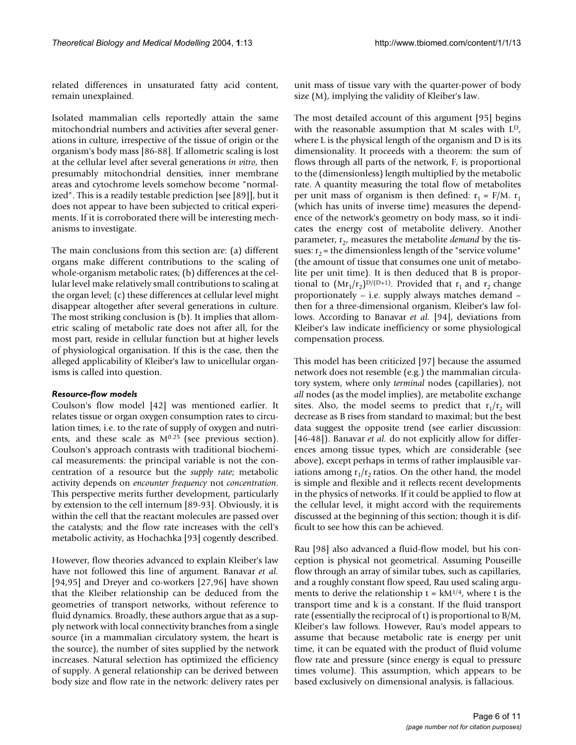related differences in unsaturated fatty acid content, remain unexplained.

Isolated mammalian cells reportedly attain the same mitochondrial numbers and activities after several generations in culture, irrespective of the tissue of origin or the organism's body mass [86-88]. If allometric scaling is lost at the cellular level after several generations *in vitro*, then presumably mitochondrial densities, inner membrane areas and cytochrome levels somehow become "normalized". This is a readily testable prediction [see [89]], but it does not appear to have been subjected to critical experiments. If it is corroborated there will be interesting mechanisms to investigate.

The main conclusions from this section are: (a) different organs make different contributions to the scaling of whole-organism metabolic rates; (b) differences at the cellular level make relatively small contributions to scaling at the organ level; (c) these differences at cellular level might disappear altogether after several generations in culture. The most striking conclusion is (b). It implies that allometric scaling of metabolic rate does not after all, for the most part, reside in cellular function but at higher levels of physiological organisation. If this is the case, then the alleged applicability of Kleiber's law to unicellular organisms is called into question.

### *Resource-flow models*

Coulson's flow model [42] was mentioned earlier. It relates tissue or organ oxygen consumption rates to circulation times, i.e. to the rate of supply of oxygen and nutrients, and these scale as M0.25 (see previous section). Coulson's approach contrasts with traditional biochemical measurements: the principal variable is not the concentration of a resource but the *supply rate*; metabolic activity depends on *encounter frequency* not *concentration*. This perspective merits further development, particularly by extension to the cell internum [89-93]. Obviously, it is within the cell that the reactant molecules are passed over the catalysts; and the flow rate increases with the cell's metabolic activity, as Hochachka [93] cogently described.

However, flow theories advanced to explain Kleiber's law have not followed this line of argument. Banavar *et al.* [94,95] and Dreyer and co-workers [27,96] have shown that the Kleiber relationship can be deduced from the geometries of transport networks, without reference to fluid dynamics. Broadly, these authors argue that as a supply network with local connectivity branches from a single source (in a mammalian circulatory system, the heart is the source), the number of sites supplied by the network increases. Natural selection has optimized the efficiency of supply. A general relationship can be derived between body size and flow rate in the network: delivery rates per

unit mass of tissue vary with the quarter-power of body size (M), implying the validity of Kleiber's law.

The most detailed account of this argument [95] begins with the reasonable assumption that M scales with L<sup>D</sup>, where L is the physical length of the organism and D is its dimensionality. It proceeds with a theorem: the sum of flows through all parts of the network, F, is proportional to the (dimensionless) length multiplied by the metabolic rate. A quantity measuring the total flow of metabolites per unit mass of organism is then defined:  $r_1 = F/M$ .  $r_1$ (which has units of inverse time) measures the dependence of the network's geometry on body mass, so it indicates the energy cost of metabolite delivery. Another parameter,  $r<sub>2</sub>$ , measures the metabolite *demand* by the tissues:  $r_2$  = the dimensionless length of the "service volume" (the amount of tissue that consumes one unit of metabolite per unit time). It is then deduced that B is proportional to  $(Mr_1/r_2)^{D/(D+1)}$ . Provided that  $r_1$  and  $r_2$  change proportionately – i.e. supply always matches demand – then for a three-dimensional organism, Kleiber's law follows. According to Banavar *et al.* [94], deviations from Kleiber's law indicate inefficiency or some physiological compensation process.

This model has been criticized [97] because the assumed network does not resemble (e.g.) the mammalian circulatory system, where only *terminal* nodes (capillaries), not *all* nodes (as the model implies), are metabolite exchange sites. Also, the model seems to predict that  $r_1/r_2$  will decrease as B rises from standard to maximal; but the best data suggest the opposite trend (see earlier discussion: [46-48]). Banavar *et al.* do not explicitly allow for differences among tissue types, which are considerable (see above), except perhaps in terms of rather implausible variations among  $r_1/r_2$  ratios. On the other hand, the model is simple and flexible and it reflects recent developments in the physics of networks. If it could be applied to flow at the cellular level, it might accord with the requirements discussed at the beginning of this section; though it is difficult to see how this can be achieved.

Rau [98] also advanced a fluid-flow model, but his conception is physical not geometrical. Assuming Pouseille flow through an array of similar tubes, such as capillaries, and a roughly constant flow speed, Rau used scaling arguments to derive the relationship  $t = kM^{1/4}$ , where t is the transport time and k is a constant. If the fluid transport rate (essentially the reciprocal of t) is proportional to B/M, Kleiber's law follows. However, Rau's model appears to assume that because metabolic rate is energy per unit time, it can be equated with the product of fluid volume flow rate and pressure (since energy is equal to pressure times volume). This assumption, which appears to be based exclusively on dimensional analysis, is fallacious.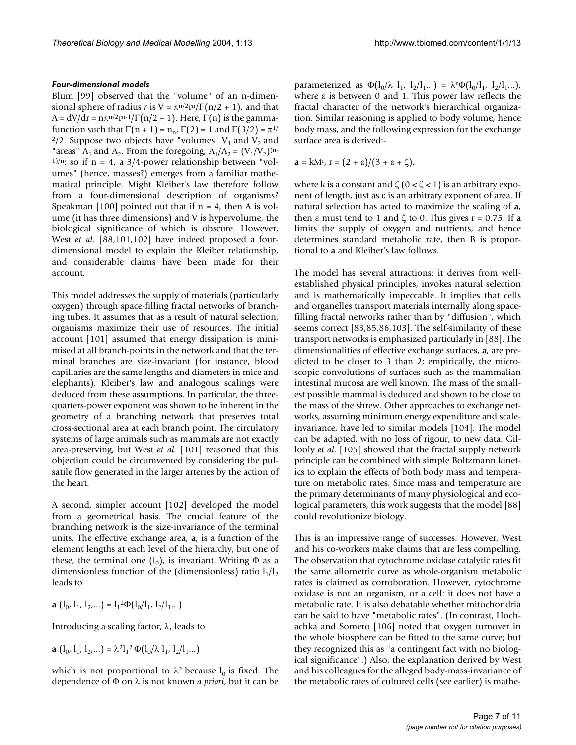#### *Four-dimensional models*

Blum [99] observed that the "volume" of an n-dimensional sphere of radius *r* is  $V = \pi^{n/2} r^n / \Gamma(n/2 + 1)$ , and that  $A = dV/dr = n\pi^{n/2}r^{n-1}/\Gamma(n/2 + 1)$ . Here,  $\Gamma(n)$  is the gammafunction such that  $\Gamma(n + 1) = n_n$ ,  $\Gamma(2) = 1$  and  $\Gamma(3/2) = \pi^{1/2}$ <sup>2</sup>/2. Suppose two objects have "volumes"  $V_1$  and  $V_2$  and "areas"  $A_1$  and  $A_2$ . From the foregoing,  $A_1/A_2 = (V_1/V_2)^{(n-1)}$ <sup>1)/n</sup>; so if n = 4, a 3/4-power relationship between "volumes" (hence, masses?) emerges from a familiar mathematical principle. Might Kleiber's law therefore follow from a four-dimensional description of organisms? Speakman [100] pointed out that if  $n = 4$ , then A is volume (it has three dimensions) and V is hypervolume, the biological significance of which is obscure. However, West *et al.* [88,101,102] have indeed proposed a fourdimensional model to explain the Kleiber relationship, and considerable claims have been made for their account.

This model addresses the supply of materials (particularly oxygen) through space-filling fractal networks of branching tubes. It assumes that as a result of natural selection, organisms maximize their use of resources. The initial account [101] assumed that energy dissipation is minimised at all branch-points in the network and that the terminal branches are size-invariant (for instance, blood capillaries are the same lengths and diameters in mice and elephants). Kleiber's law and analogous scalings were deduced from these assumptions. In particular, the threequarters-power exponent was shown to be inherent in the geometry of a branching network that preserves total cross-sectional area at each branch point. The circulatory systems of large animals such as mammals are not exactly area-preserving, but West *et al.* [101] reasoned that this objection could be circumvented by considering the pulsatile flow generated in the larger arteries by the action of the heart.

A second, simpler account [102] developed the model from a geometrical basis. The crucial feature of the branching network is the size-invariance of the terminal units. The effective exchange area, **a**, is a function of the element lengths at each level of the hierarchy, but one of these, the terminal one  $(l_0)$ , is invariant. Writing  $\Phi$  as a dimensionless function of the (dimensionless) ratio  $l_1/l_2$ leads to

**a**  $(l_0, l_1, l_2, \dots) = l_1^2 \Phi(l_0/l_1, l_2/l_1 \dots)$ 

Introducing a scaling factor,  $\lambda$ , leads to

$$
\mathbf{a} (l_{0}, l_{1}, l_{2}, \dots) = \lambda^{2} l_{1}^{2} \Phi(l_{0} / \lambda l_{1}, l_{2} / l_{1} \dots)
$$

which is not proportional to  $\lambda^2$  because  $l_0$  is fixed. The dependence of Φ on λ is not known *a priori*, but it can be parameterized as  $\Phi(l_0/\lambda l_1, l_2/l_1...) = \lambda \Phi(l_0/l_1, l_2/l_1...)$ , where  $ε$  is between 0 and 1. This power law reflects the fractal character of the network's hierarchical organization. Similar reasoning is applied to body volume, hence body mass, and the following expression for the exchange surface area is derived:-

$$
\mathbf{a} = kM^{r}, \mathbf{r} = (2 + \varepsilon)/(3 + \varepsilon + \zeta),
$$

where k is a constant and  $\zeta$  (0 <  $\zeta$  < 1) is an arbitrary exponent of length, just as ε is an arbitrary exponent of area. If natural selection has acted to maximize the scaling of **a**, then ε must tend to 1 and  $\zeta$  to 0. This gives  $r = 0.75$ . If **a** limits the supply of oxygen and nutrients, and hence determines standard metabolic rate, then B is proportional to **a** and Kleiber's law follows.

The model has several attractions: it derives from wellestablished physical principles, invokes natural selection and is mathematically impeccable. It implies that cells and organelles transport materials internally along spacefilling fractal networks rather than by "diffusion", which seems correct [83,85,86,103]. The self-similarity of these transport networks is emphasized particularly in [88]. The dimensionalities of effective exchange surfaces, **a**, are predicted to be closer to 3 than 2; empirically, the microscopic convolutions of surfaces such as the mammalian intestinal mucosa are well known. The mass of the smallest possible mammal is deduced and shown to be close to the mass of the shrew. Other approaches to exchange networks, assuming minimum energy expenditure and scaleinvariance, have led to similar models [104]. The model can be adapted, with no loss of rigour, to new data: Gillooly *et al*. [105] showed that the fractal supply network principle can be combined with simple Boltzmann kinetics to explain the effects of both body mass and temperature on metabolic rates. Since mass and temperature are the primary determinants of many physiological and ecological parameters, this work suggests that the model [88] could revolutionize biology.

This is an impressive range of successes. However, West and his co-workers make claims that are less compelling. The observation that cytochrome oxidase catalytic rates fit the same allometric curve as whole-organism metabolic rates is claimed as corroboration. However, cytochrome oxidase is not an organism, or a cell: it does not have a metabolic rate. It is also debatable whether mitochondria can be said to have "metabolic rates". (In contrast, Hochachka and Somero [106] noted that oxygen turnover in the whole biosphere can be fitted to the same curve; but they recognized this as "a contingent fact with no biological significance".) Also, the explanation derived by West and his colleagues for the alleged body-mass-invariance of the metabolic rates of cultured cells (see earlier) is mathe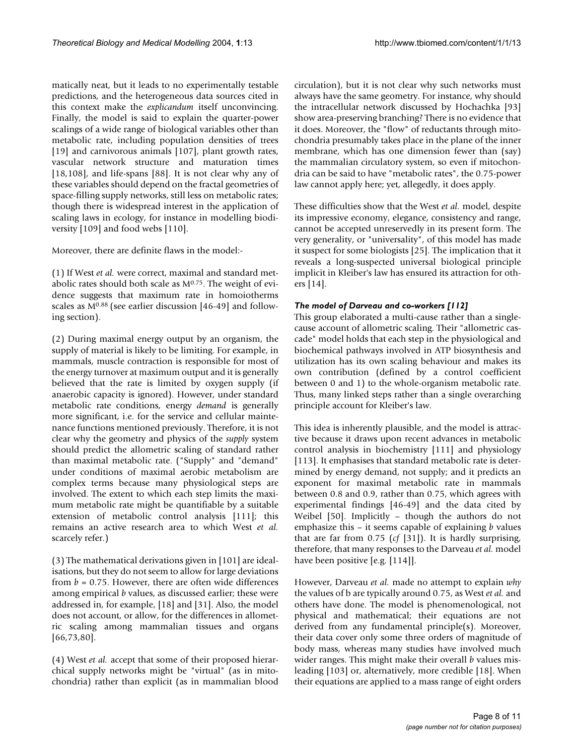matically neat, but it leads to no experimentally testable predictions, and the heterogeneous data sources cited in this context make the *explicandum* itself unconvincing. Finally, the model is said to explain the quarter-power scalings of a wide range of biological variables other than metabolic rate, including population densities of trees [19] and carnivorous animals [107], plant growth rates, vascular network structure and maturation times [18,108], and life-spans [88]. It is not clear why any of these variables should depend on the fractal geometries of space-filling supply networks, still less on metabolic rates; though there is widespread interest in the application of scaling laws in ecology, for instance in modelling biodiversity [109] and food webs [110].

Moreover, there are definite flaws in the model:-

(1) If West *et al.* were correct, maximal and standard metabolic rates should both scale as M0.75. The weight of evidence suggests that maximum rate in homoiotherms scales as M0.88 (see earlier discussion [46-49] and following section).

(2) During maximal energy output by an organism, the supply of material is likely to be limiting. For example, in mammals, muscle contraction is responsible for most of the energy turnover at maximum output and it is generally believed that the rate is limited by oxygen supply (if anaerobic capacity is ignored). However, under standard metabolic rate conditions, energy *demand* is generally more significant, i.e. for the service and cellular maintenance functions mentioned previously. Therefore, it is not clear why the geometry and physics of the *supply* system should predict the allometric scaling of standard rather than maximal metabolic rate. ("Supply" and "demand" under conditions of maximal aerobic metabolism are complex terms because many physiological steps are involved. The extent to which each step limits the maximum metabolic rate might be quantifiable by a suitable extension of metabolic control analysis [111]; this remains an active research area to which West *et al.* scarcely refer.)

(3) The mathematical derivations given in [101] are idealisations, but they do not seem to allow for large deviations from  $b = 0.75$ . However, there are often wide differences among empirical *b* values, as discussed earlier; these were addressed in, for example, [18] and [31]. Also, the model does not account, or allow, for the differences in allometric scaling among mammalian tissues and organs [66,73,80].

(4) West *et al.* accept that some of their proposed hierarchical supply networks might be "virtual" (as in mitochondria) rather than explicit (as in mammalian blood

circulation), but it is not clear why such networks must always have the same geometry. For instance, why should the intracellular network discussed by Hochachka [93] show area-preserving branching? There is no evidence that it does. Moreover, the "flow" of reductants through mitochondria presumably takes place in the plane of the inner membrane, which has one dimension fewer than (say) the mammalian circulatory system, so even if mitochondria can be said to have "metabolic rates", the 0.75-power law cannot apply here; yet, allegedly, it does apply.

These difficulties show that the West *et al.* model, despite its impressive economy, elegance, consistency and range, cannot be accepted unreservedly in its present form. The very generality, or "universality", of this model has made it suspect for some biologists [25]. The implication that it reveals a long-suspected universal biological principle implicit in Kleiber's law has ensured its attraction for others [14].

# *The model of Darveau and co-workers [112]*

This group elaborated a multi-cause rather than a singlecause account of allometric scaling. Their "allometric cascade" model holds that each step in the physiological and biochemical pathways involved in ATP biosynthesis and utilization has its own scaling behaviour and makes its own contribution (defined by a control coefficient between 0 and 1) to the whole-organism metabolic rate. Thus, many linked steps rather than a single overarching principle account for Kleiber's law.

This idea is inherently plausible, and the model is attractive because it draws upon recent advances in metabolic control analysis in biochemistry [111] and physiology [113]. It emphasises that standard metabolic rate is determined by energy demand, not supply; and it predicts an exponent for maximal metabolic rate in mammals between 0.8 and 0.9, rather than 0.75, which agrees with experimental findings [46-49] and the data cited by Weibel [50]. Implicitly – though the authors do not emphasize this – it seems capable of explaining *b* values that are far from 0.75 (*cf* [31]). It is hardly surprising, therefore, that many responses to the Darveau *et al.* model have been positive [e.g. [114]].

However, Darveau *et al.* made no attempt to explain *why* the values of b are typically around 0.75, as West *et al.* and others have done. The model is phenomenological, not physical and mathematical; their equations are not derived from any fundamental principle(s). Moreover, their data cover only some three orders of magnitude of body mass, whereas many studies have involved much wider ranges. This might make their overall *b* values misleading [103] or, alternatively, more credible [18]. When their equations are applied to a mass range of eight orders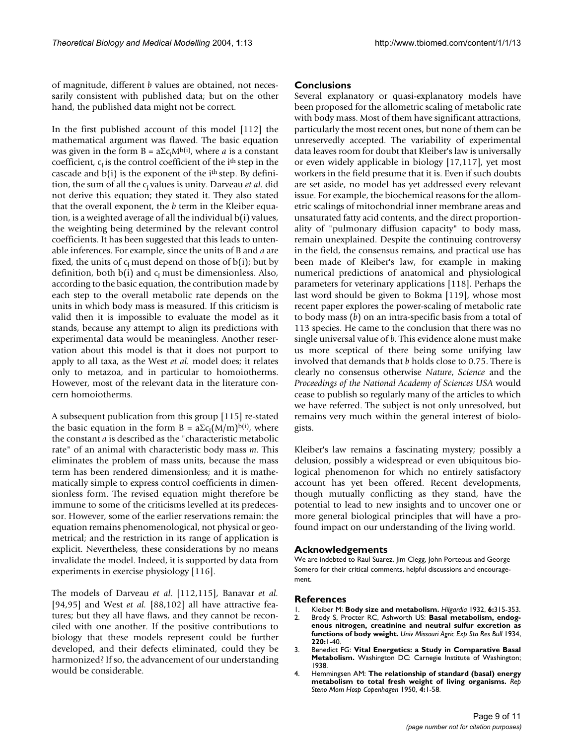of magnitude, different *b* values are obtained, not necessarily consistent with published data; but on the other hand, the published data might not be correct.

In the first published account of this model [112] the mathematical argument was flawed. The basic equation was given in the form B = aΣc<sub>i</sub>M<sup>b(i)</sup>, where *a* is a constant coefficient,  $c<sub>1</sub>$  is the control coefficient of the i<sup>th</sup> step in the cascade and  $b(i)$  is the exponent of the  $i<sup>th</sup>$  step. By definition, the sum of all the c<sub>I</sub> values is unity. Darveau *et al.* did not derive this equation; they stated it. They also stated that the overall exponent, the *b* term in the Kleiber equation, is a weighted average of all the individual b(i) values, the weighting being determined by the relevant control coefficients. It has been suggested that this leads to untenable inferences. For example, since the units of B and *a* are fixed, the units of  $c_I$  must depend on those of  $b(i)$ ; but by definition, both  $b(i)$  and  $c<sub>i</sub>$  must be dimensionless. Also, according to the basic equation, the contribution made by each step to the overall metabolic rate depends on the units in which body mass is measured. If this criticism is valid then it is impossible to evaluate the model as it stands, because any attempt to align its predictions with experimental data would be meaningless. Another reservation about this model is that it does not purport to apply to all taxa, as the West *et al.* model does; it relates only to metazoa, and in particular to homoiotherms. However, most of the relevant data in the literature concern homoiotherms.

A subsequent publication from this group [115] re-stated the basic equation in the form  $B = a\Sigma c_I (M/m)^{b(i)}$ , where the constant *a* is described as the "characteristic metabolic rate" of an animal with characteristic body mass *m*. This eliminates the problem of mass units, because the mass term has been rendered dimensionless; and it is mathematically simple to express control coefficients in dimensionless form. The revised equation might therefore be immune to some of the criticisms levelled at its predecessor. However, some of the earlier reservations remain: the equation remains phenomenological, not physical or geometrical; and the restriction in its range of application is explicit. Nevertheless, these considerations by no means invalidate the model. Indeed, it is supported by data from experiments in exercise physiology [116].

The models of Darveau *et al*. [112,115], Banavar *et al.* [94,95] and West *et al.* [88,102] all have attractive features; but they all have flaws, and they cannot be reconciled with one another. If the positive contributions to biology that these models represent could be further developed, and their defects eliminated, could they be harmonized? If so, the advancement of our understanding would be considerable.

# **Conclusions**

Several explanatory or quasi-explanatory models have been proposed for the allometric scaling of metabolic rate with body mass. Most of them have significant attractions, particularly the most recent ones, but none of them can be unreservedly accepted. The variability of experimental data leaves room for doubt that Kleiber's law is universally or even widely applicable in biology [17,117], yet most workers in the field presume that it is. Even if such doubts are set aside, no model has yet addressed every relevant issue. For example, the biochemical reasons for the allometric scalings of mitochondrial inner membrane areas and unsaturated fatty acid contents, and the direct proportionality of "pulmonary diffusion capacity" to body mass, remain unexplained. Despite the continuing controversy in the field, the consensus remains, and practical use has been made of Kleiber's law, for example in making numerical predictions of anatomical and physiological parameters for veterinary applications [118]. Perhaps the last word should be given to Bokma [119], whose most recent paper explores the power-scaling of metabolic rate to body mass (*b*) on an intra-specific basis from a total of 113 species. He came to the conclusion that there was no single universal value of *b*. This evidence alone must make us more sceptical of there being some unifying law involved that demands that *b* holds close to 0.75. There is clearly no consensus otherwise *Nature*, *Science* and the *Proceedings of the National Academy of Sciences USA* would cease to publish so regularly many of the articles to which we have referred. The subject is not only unresolved, but remains very much within the general interest of biologists.

Kleiber's law remains a fascinating mystery; possibly a delusion, possibly a widespread or even ubiquitous biological phenomenon for which no entirely satisfactory account has yet been offered. Recent developments, though mutually conflicting as they stand, have the potential to lead to new insights and to uncover one or more general biological principles that will have a profound impact on our understanding of the living world.

#### **Acknowledgements**

We are indebted to Raul Suarez, Jim Clegg, John Porteous and George Somero for their critical comments, helpful discussions and encouragement.

#### **References**

- 1. Kleiber M: **Body size and metabolism.** *Hilgardia* 1932, **6:**315-353.
- 2. Brody S, Procter RC, Ashworth US: **Basal metabolism, endogenous nitrogen, creatinine and neutral sulfur excretion as functions of body weight.** *Univ Missouri Agric Exp Sta Res Bull* 1934, **220:**1-40.
- 3. Benedict FG: **Vital Energetics: a Study in Comparative Basal Metabolism.** Washington DC: Carnegie Institute of Washington; 1938.
- 4. Hemmingsen AM: **The relationship of standard (basal) energy metabolism to total fresh weight of living organisms.** *Rep Steno Mom Hosp Copenhagen* 1950, **4:**1-58.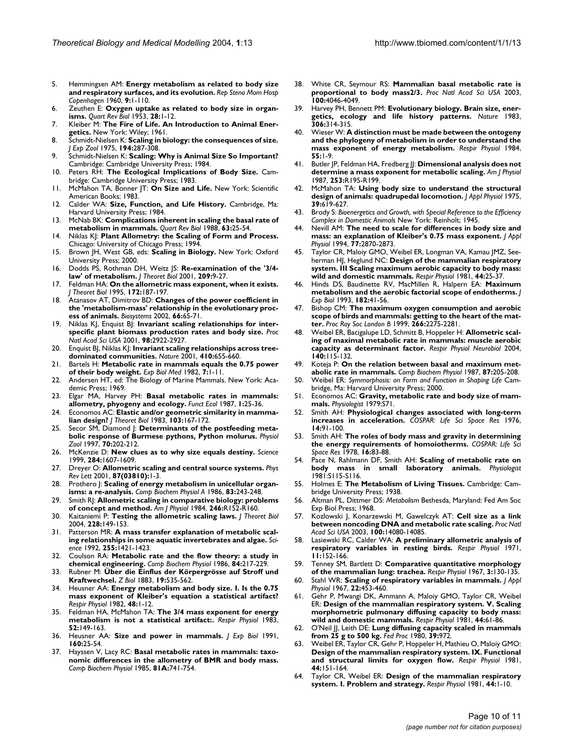- 5. Hemmingsen AM: **Energy metabolism as related to body size and respiratory surfaces, and its evolution.** *Rep Steno Mom Hosp Copenhagen* 1960, **9:**1-110.
- 6. Zeuthen E: **[Oxygen uptake as related to body size in organ](http://www.ncbi.nlm.nih.gov/entrez/query.fcgi?cmd=Retrieve&db=PubMed&dopt=Abstract&list_uids=13047555)[isms.](http://www.ncbi.nlm.nih.gov/entrez/query.fcgi?cmd=Retrieve&db=PubMed&dopt=Abstract&list_uids=13047555)** *Quart Rev Biol* 1953, **28:**1-12.
- 7. Kleiber M: **The Fire of Life. An Introduction to Animal Energetics.** New York: Wiley; 1961.
- 8. Schmidt-Nielsen K: **[Scaling in biology: the consequences of size.](http://www.ncbi.nlm.nih.gov/entrez/query.fcgi?cmd=Retrieve&db=PubMed&dopt=Abstract&list_uids=811757)** *J Exp Zool* 1975, **194:**287-308.
- 9. Schmidt-Nielsen K: **Scaling: Why is Animal Size So Important?** Cambridge: Cambridge University Press; 1984.
- 10. Peters RH: **The Ecological Implications of Body Size.** Cambridge: Cambridge University Press; 1983.
- 11. McMahon TA, Bonner JT: **On Size and Life.** New York: Scientific American Books; 1983.
- 12. Calder WA: **Size, Function, and Life History.** Cambridge, Ma: Harvard University Press; 1984.
- 13. McNab BK: **[Complications inherent in scaling the basal rate of](http://www.ncbi.nlm.nih.gov/entrez/query.fcgi?cmd=Retrieve&db=PubMed&dopt=Abstract&list_uids=3287424) [metabolism in mammals.](http://www.ncbi.nlm.nih.gov/entrez/query.fcgi?cmd=Retrieve&db=PubMed&dopt=Abstract&list_uids=3287424)** *Quart Rev Biol* 1988, **63:**25-54.
- 14. Niklas KJ: **Plant Allometry: the Scaling of Form and Process.** Chicago: University of Chicago Press; 1994.
- 15. Brown JH, West GB, eds: **Scaling in Biology.** New York: Oxford University Press; 2000.
- 16. Dodds PS, Rothman DH, Weitz JS: **Re-examination of the '3/4 law' of metabolism.** *J Theoret Biol* 2001, **209:**9-27.
- 17. Feldman HA: **On the allometric mass exponent, when it exists.** *J Theoret Biol* 1995, **172:**187-197.
- 18. Atanasov AT, Dimitrov BD: **[Changes of the power coefficient in](http://www.ncbi.nlm.nih.gov/entrez/query.fcgi?cmd=Retrieve&db=PubMed&dopt=Abstract&list_uids=12204443) [the 'metabolism-mass' relationship in the evolutionary proc](http://www.ncbi.nlm.nih.gov/entrez/query.fcgi?cmd=Retrieve&db=PubMed&dopt=Abstract&list_uids=12204443)[ess of animals.](http://www.ncbi.nlm.nih.gov/entrez/query.fcgi?cmd=Retrieve&db=PubMed&dopt=Abstract&list_uids=12204443)** *Biosystems* 2002, **66:**65-71.
- 19. Niklas KJ, Enquist BJ: **[Invariant scaling relationships for inter](http://www.ncbi.nlm.nih.gov/entrez/query.fcgi?cmd=Retrieve&db=PubMed&dopt=Abstract&list_uids=11226342)[specific plant biomass production rates and body size.](http://www.ncbi.nlm.nih.gov/entrez/query.fcgi?cmd=Retrieve&db=PubMed&dopt=Abstract&list_uids=11226342)** *Proc Natl Acad Sci USA* 2001, **98:**2922-2927.
- 20. Enquist BJ, Niklas KJ: **[Invariant scaling relationships across tree](http://www.ncbi.nlm.nih.gov/entrez/query.fcgi?cmd=Retrieve&db=PubMed&dopt=Abstract&list_uids=11287945)[dominated communities.](http://www.ncbi.nlm.nih.gov/entrez/query.fcgi?cmd=Retrieve&db=PubMed&dopt=Abstract&list_uids=11287945)** *Nature* 2001, **410:**655-660.
- Bartels H: Metabolic rate in mammals equals the 0.75 power **of their body weight.** *Exp Biol Med* 1982, **7:**1-11.
- 22. Andersen HT, ed: The Biology of Marine Mammals. New York: Academic Press; 1969.
- 23. Elgar MA, Harvey PH: **Basal metabolic rates in mammals: allometry, phyogeny and ecology.** *Funct Ecol* 1987, **1:**25-36.
- 24. Economos AC: **Elastic and/or geometric similarity in mammalian design?** *J Theoret Biol* 1983, **103:**167-172.
- 25. Secor SM, Diamond J: **[Determinants of the postfeeding meta](http://www.ncbi.nlm.nih.gov/entrez/query.fcgi?cmd=Retrieve&db=PubMed&dopt=Abstract&list_uids=9231393)[bolic response of Burmese pythons, Python molurus.](http://www.ncbi.nlm.nih.gov/entrez/query.fcgi?cmd=Retrieve&db=PubMed&dopt=Abstract&list_uids=9231393)** *Physiol Zool* 1997, **70:**202-212.
- 26. McKenzie D: **[New clues as to why size equals destiny.](http://www.ncbi.nlm.nih.gov/entrez/query.fcgi?cmd=Retrieve&db=PubMed&dopt=Abstract&list_uids=10383334)** *Science* 1999, **284:**1607-1609.
- 27. Dreyer O: **Allometric scaling and central source systems.** *Phys Rev Lett* 2001, **87(03810):**1-3.
- 28. Prothero J: **[Scaling of energy metabolism in unicellular organ](http://www.ncbi.nlm.nih.gov/entrez/query.fcgi?cmd=Retrieve&db=PubMed&dopt=Abstract&list_uids=2869865)[isms: a re-analysis.](http://www.ncbi.nlm.nih.gov/entrez/query.fcgi?cmd=Retrieve&db=PubMed&dopt=Abstract&list_uids=2869865)** *Comp Biochem Physiol A* 1986, **83:**243-248.
- 29. Smith RJ: **[Allometric scaling in comparative biology: problems](http://www.ncbi.nlm.nih.gov/entrez/query.fcgi?cmd=Retrieve&db=PubMed&dopt=Abstract&list_uids=6696141) [of concept and method.](http://www.ncbi.nlm.nih.gov/entrez/query.fcgi?cmd=Retrieve&db=PubMed&dopt=Abstract&list_uids=6696141)** *Am J Physiol* 1984, **246:**R152-R160.
- 30. Kaitaniemi P: **Testing the allometric scaling laws.** *J Theoret Biol* 2004, **228:**149-153.
- 31. Patterson MR: **A mass transfer explanation of metabolic scaling relationships in some aquatic invertebrates and algae.** *Science* 1992, **255:**1421-1423.
- 32. Coulson RA: **Metabolic rate and the flow theory: a study in chemical engineering.** *Comp Biochem Physiol* 1986, **84:**217-229.
- 33. Rubner M: **Über die Einflus der Körpergrösse auf Stroff und Kraftwechsel.** *Z Biol* 1883, **19:**535-562.
- 34. Heusner AA: **[Energy metabolism and body size. I. Is the 0.75](http://www.ncbi.nlm.nih.gov/entrez/query.fcgi?cmd=Retrieve&db=PubMed&dopt=Abstract&list_uids=7111915) [mass exponent of Kleiber's equation a statistical artifact?](http://www.ncbi.nlm.nih.gov/entrez/query.fcgi?cmd=Retrieve&db=PubMed&dopt=Abstract&list_uids=7111915)** *Respir Physiol* 1982, **48:**1-12.
- 35. Feldman HA, McMahon TA: **[The 3/4 mass exponent for energy](http://www.ncbi.nlm.nih.gov/entrez/query.fcgi?cmd=Retrieve&db=PubMed&dopt=Abstract&list_uids=6878906) [metabolism is not a statistical artifact:.](http://www.ncbi.nlm.nih.gov/entrez/query.fcgi?cmd=Retrieve&db=PubMed&dopt=Abstract&list_uids=6878906)** *Respir Physiol* 1983, **52:**149-163.
- 36. Heusner AA: **[Size and power in mammals.](http://www.ncbi.nlm.nih.gov/entrez/query.fcgi?cmd=Retrieve&db=PubMed&dopt=Abstract&list_uids=1960515)** *J Exp Biol* 1991, **160:**25-54.
- 37. Hayssen V, Lacy RC: **Basal metabolic rates in mammals: taxonomic differences in the allometry of BMR and body mass.** *Comp Biochem Physiol* 1985, **81A:**741-754.
- 38. White CR, Seymour RS: **[Mammalian basal metabolic rate is](http://www.ncbi.nlm.nih.gov/entrez/query.fcgi?cmd=Retrieve&db=PubMed&dopt=Abstract&list_uids=12637681) [proportional to body mass2/3.](http://www.ncbi.nlm.nih.gov/entrez/query.fcgi?cmd=Retrieve&db=PubMed&dopt=Abstract&list_uids=12637681)** *Proc Natl Acad Sci USA* 2003, **100:**4046-4049.
- 39. Harvey PH, Bennett PM: **[Evolutionary biology. Brain size, ener](http://www.ncbi.nlm.nih.gov/entrez/query.fcgi?cmd=Retrieve&db=PubMed&dopt=Abstract&list_uids=6646214)[getics, ecology and life history patterns.](http://www.ncbi.nlm.nih.gov/entrez/query.fcgi?cmd=Retrieve&db=PubMed&dopt=Abstract&list_uids=6646214)** *Nature* 1983, **306:**314-315.
- 40. Wieser W: **[A distinction must be made between the ontogeny](http://www.ncbi.nlm.nih.gov/entrez/query.fcgi?cmd=Retrieve&db=PubMed&dopt=Abstract&list_uids=6709979) [and the phylogeny of metabolism in order to understand the](http://www.ncbi.nlm.nih.gov/entrez/query.fcgi?cmd=Retrieve&db=PubMed&dopt=Abstract&list_uids=6709979) [mass exponent of energy metabolism.](http://www.ncbi.nlm.nih.gov/entrez/query.fcgi?cmd=Retrieve&db=PubMed&dopt=Abstract&list_uids=6709979)** *Respir Physiol* 1984, **55:**1-9.
- 41. Butler JP, Feldman HA, Fredberg JJ: **[Dimensional analysis does not](http://www.ncbi.nlm.nih.gov/entrez/query.fcgi?cmd=Retrieve&db=PubMed&dopt=Abstract&list_uids=3605384) [determine a mass exponent for metabolic scaling.](http://www.ncbi.nlm.nih.gov/entrez/query.fcgi?cmd=Retrieve&db=PubMed&dopt=Abstract&list_uids=3605384)** *Am J Physiol* 1987, **253:**R195-R199.
- 42. McMahon TA: **[Using body size to understand the structural](http://www.ncbi.nlm.nih.gov/entrez/query.fcgi?cmd=Retrieve&db=PubMed&dopt=Abstract&list_uids=1194153) [design of animals: quadrupedal locomotion.](http://www.ncbi.nlm.nih.gov/entrez/query.fcgi?cmd=Retrieve&db=PubMed&dopt=Abstract&list_uids=1194153)** *J Appl Physiol* 1975, **39:**619-627.
- 43. Brody S: *Bioenergetics and Growth, with Special Reference to the Efficiency Complex in Domestic Animals* New York: Reinholt; 1945.
- 44. Nevill AM: **[The need to scale for differences in body size and](http://www.ncbi.nlm.nih.gov/entrez/query.fcgi?cmd=Retrieve&db=PubMed&dopt=Abstract&list_uids=7896634) [mass: an explanation of Kleiber's 0.75 mass exponent.](http://www.ncbi.nlm.nih.gov/entrez/query.fcgi?cmd=Retrieve&db=PubMed&dopt=Abstract&list_uids=7896634)** *J Appl Physiol* 1994, **77:**2870-2873.
- 45. Taylor CR, Maloiy GMO, Weibel ER, Longman VA, Kamau JMZ, Seeherman HJ, Heglund NC: **[Design of the mammalian respiratory](http://www.ncbi.nlm.nih.gov/entrez/query.fcgi?cmd=Retrieve&db=PubMed&dopt=Abstract&list_uids=7232885) [system. III Scaling maximum aerobic capacity to body mass:](http://www.ncbi.nlm.nih.gov/entrez/query.fcgi?cmd=Retrieve&db=PubMed&dopt=Abstract&list_uids=7232885) [wild and domestic mammals.](http://www.ncbi.nlm.nih.gov/entrez/query.fcgi?cmd=Retrieve&db=PubMed&dopt=Abstract&list_uids=7232885)** *Respir Physiol* 1981, **44:**25-37.
- 46. Hinds DS, Baudinette RV, MacMillen R, Halpern EA: **[Maximum](http://www.ncbi.nlm.nih.gov/entrez/query.fcgi?cmd=Retrieve&db=PubMed&dopt=Abstract&list_uids=8228784) [metabolism and the aerobic factorial scope of endotherms.](http://www.ncbi.nlm.nih.gov/entrez/query.fcgi?cmd=Retrieve&db=PubMed&dopt=Abstract&list_uids=8228784)** *J Exp Biol* 1993, **182:**41-56.
- 47. Bishop CM: **The maximum oxygen consumption and aerobic scope of birds and mammals: getting to the heart of the matter.** *Proc Roy Soc London B* 1999, **266:**2275-2281.
- 48. Weibel ER, Bacigalupe LD, Schmitt B, Hoppeler H: **[Allometric scal](http://www.ncbi.nlm.nih.gov/entrez/query.fcgi?cmd=Retrieve&db=PubMed&dopt=Abstract&list_uids=15134660)[ing of maximal metabolic rate in mammals: muscle aerobic](http://www.ncbi.nlm.nih.gov/entrez/query.fcgi?cmd=Retrieve&db=PubMed&dopt=Abstract&list_uids=15134660) [capacity as determinant factor.](http://www.ncbi.nlm.nih.gov/entrez/query.fcgi?cmd=Retrieve&db=PubMed&dopt=Abstract&list_uids=15134660)** *Respir Physiol Neurobiol* 2004, **140:**115-132.
- Koteja P: On the relation between basal and maximum met**abolic rate in mammals.** *Comp Biochem Physiol* 1987, **87:**205-208.
- 50. Weibel ER: *Symmorphosis: on Form and Function in Shaping Life* Cambridge, Ma: Harvard University Press; 2000.
- 51. Economos AC: **Gravity, metabolic rate and body size of mammals.** *Physiologist* 1979:S71.
- 52. Smith AH: **Physiological changes associated with long-term increases in acceleration.** *COSPAR: Life Sci Space Res* 1976, **14:**91-100.
- 53. Smith AH: **The roles of body mass and gravity in determining the energy requirements of homoiotherms.** *COSPAR: Life Sci Space Res* 1978, **16:**83-88.
- 54. Pace N, Rahlmann DF, Smith AH: **Scaling of metabolic rate on body mass in small laboratory animals.** *Physiologist* 1981:S115-S116.
- 55. Holmes E: **The Metabolism of Living Tissues.** Cambridge: Cambridge University Press; 1938.
- 56. Altman PL, Dittmer DS: *Metabolism* Bethesda, Maryland: Fed Am Soc Exp Biol Press; 1968.
- 57. Kozlowski J, Konarzewski M, Gawelczyk AT: **[Cell size as a link](http://www.ncbi.nlm.nih.gov/entrez/query.fcgi?cmd=Retrieve&db=PubMed&dopt=Abstract&list_uids=14615584) [between noncoding DNA and metabolic rate scaling.](http://www.ncbi.nlm.nih.gov/entrez/query.fcgi?cmd=Retrieve&db=PubMed&dopt=Abstract&list_uids=14615584)** *Proc Natl Acad Sci USA* 2003, **100:**14080-14085.
- 58. Lasiewski RC, Calder WA: **[A preliminary allometric analysis of](http://www.ncbi.nlm.nih.gov/entrez/query.fcgi?cmd=Retrieve&db=PubMed&dopt=Abstract&list_uids=5540203) [respiratory variables in resting birds.](http://www.ncbi.nlm.nih.gov/entrez/query.fcgi?cmd=Retrieve&db=PubMed&dopt=Abstract&list_uids=5540203)** *Respir Physiol* 1971, **11:**152-166.
- 59. Tenney SM, Bartlett D: **[Comparative quantitative morphology](http://www.ncbi.nlm.nih.gov/entrez/query.fcgi?cmd=Retrieve&db=PubMed&dopt=Abstract&list_uids=6058337) [of the mammalian lung: trachea.](http://www.ncbi.nlm.nih.gov/entrez/query.fcgi?cmd=Retrieve&db=PubMed&dopt=Abstract&list_uids=6058337)** *Respir Physiol* 1967, **3:**130-135.
- Stahl WR: [Scaling of respiratory variables in mammals.](http://www.ncbi.nlm.nih.gov/entrez/query.fcgi?cmd=Retrieve&db=PubMed&dopt=Abstract&list_uids=6020227) *J Appl Physiol* 1967, **22:**453-460.
- 61. Gehr P, Mwangi DK, Ammann A, Maloiy GMO, Taylor CR, Weibel ER: **[Design of the mammalian respiratory system. V. Scaling](http://www.ncbi.nlm.nih.gov/entrez/query.fcgi?cmd=Retrieve&db=PubMed&dopt=Abstract&list_uids=7232887) [morphometric pulmonary diffusing capacity to body mass:](http://www.ncbi.nlm.nih.gov/entrez/query.fcgi?cmd=Retrieve&db=PubMed&dopt=Abstract&list_uids=7232887) [wild and domestic mammals.](http://www.ncbi.nlm.nih.gov/entrez/query.fcgi?cmd=Retrieve&db=PubMed&dopt=Abstract&list_uids=7232887)** *Respir Physiol* 1981, **44:**61-86.
- 62. O'Neil JJ, Leith DE: **Lung diffusing capacity scaled in mammals from 25 g to 500 kg.** *Fed Proc* 1980, **39:**972.
- 63. Weibel ER, Taylor CR, Gehr P, Hoppeler H, Mathieu O, Maloiy GMO: **[Design of the mammalian respiratory system. IX. Functional](http://www.ncbi.nlm.nih.gov/entrez/query.fcgi?cmd=Retrieve&db=PubMed&dopt=Abstract&list_uids=7232884) [and structural limits for oxygen flow.](http://www.ncbi.nlm.nih.gov/entrez/query.fcgi?cmd=Retrieve&db=PubMed&dopt=Abstract&list_uids=7232884)** *Respir Physiol* 1981, **44:**151-164.
- 64. Taylor CR, Weibel ER: **[Design of the mammalian respiratory](http://www.ncbi.nlm.nih.gov/entrez/query.fcgi?cmd=Retrieve&db=PubMed&dopt=Abstract&list_uids=7232879) [system. I. Problem and strategy.](http://www.ncbi.nlm.nih.gov/entrez/query.fcgi?cmd=Retrieve&db=PubMed&dopt=Abstract&list_uids=7232879)** *Respir Physiol* 1981, **44:**1-10.